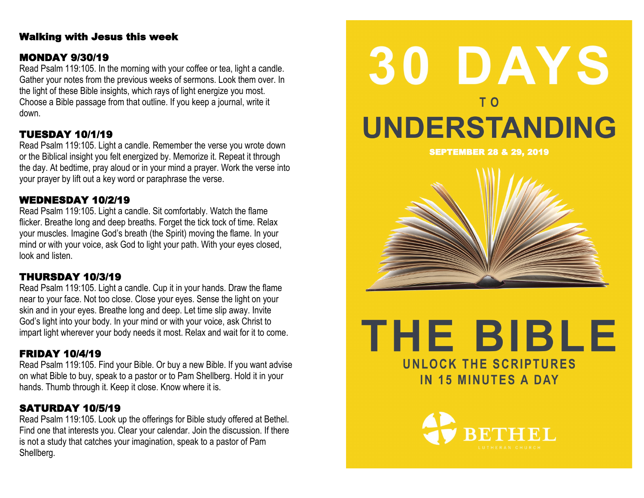### Walking with Jesus this week

### MONDAY 9/30/19

Read Psalm 119:105. In the morning with your coffee or tea, light a candle. Gather your notes from the previous weeks of sermons. Look them over. In the light of these Bible insights, which rays of light energize you most. Choose a Bible passage from that outline. If you keep a journal, write it down.

### TUESDAY 10/1/19

Read Psalm 119:105. Light a candle. Remember the verse you wrote down or the Biblical insight you felt energized by. Memorize it. Repeat it through the day. At bedtime, pray aloud or in your mind a prayer. Work the verse into your prayer by lift out a key word or paraphrase the verse.

### WEDNESDAY 10/2/19

Read Psalm 119:105. Light a candle. Sit comfortably. Watch the flame flicker. Breathe long and deep breaths. Forget the tick tock of time. Relax your muscles. Imagine God's breath (the Spirit) moving the flame. In your mind or with your voice, ask God to light your path. With your eyes closed, look and listen.

### THURSDAY 10/3/19

Read Psalm 119:105. Light a candle. Cup it in your hands. Draw the flame near to your face. Not too close. Close your eyes. Sense the light on your skin and in your eyes. Breathe long and deep. Let time slip away. Invite God's light into your body. In your mind or with your voice, ask Christ to impart light wherever your body needs it most. Relax and wait for it to come.

### FRIDAY 10/4/19

Read Psalm 119:105. Find your Bible. Or buy a new Bible. If you want advise on what Bible to buy, speak to a pastor or to Pam Shellberg. Hold it in your hands. Thumb through it. Keep it close. Know where it is.

### SATURDAY 10/5/19

Read Psalm 119:105. Look up the offerings for Bible study offered at Bethel. Find one that interests you. Clear your calendar. Join the discussion. If there is not a study that catches your imagination, speak to a pastor of Pam Shellberg.